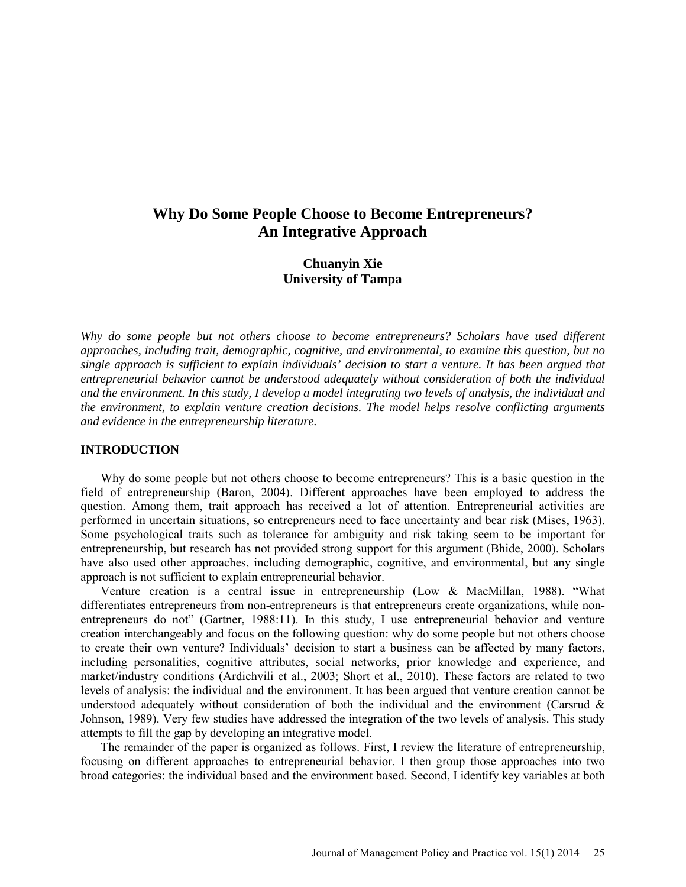# **Why Do Some People Choose to Become Entrepreneurs? An Integrative Approach**

## **Chuanyin Xie University of Tampa**

*Why do some people but not others choose to become entrepreneurs? Scholars have used different approaches, including trait, demographic, cognitive, and environmental, to examine this question, but no single approach is sufficient to explain individuals' decision to start a venture. It has been argued that entrepreneurial behavior cannot be understood adequately without consideration of both the individual and the environment. In this study, I develop a model integrating two levels of analysis, the individual and the environment, to explain venture creation decisions. The model helps resolve conflicting arguments and evidence in the entrepreneurship literature.*

#### **INTRODUCTION**

Why do some people but not others choose to become entrepreneurs? This is a basic question in the field of entrepreneurship (Baron, 2004). Different approaches have been employed to address the question. Among them, trait approach has received a lot of attention. Entrepreneurial activities are performed in uncertain situations, so entrepreneurs need to face uncertainty and bear risk (Mises, 1963). Some psychological traits such as tolerance for ambiguity and risk taking seem to be important for entrepreneurship, but research has not provided strong support for this argument (Bhide, 2000). Scholars have also used other approaches, including demographic, cognitive, and environmental, but any single approach is not sufficient to explain entrepreneurial behavior.

Venture creation is a central issue in entrepreneurship (Low & MacMillan, 1988). "What differentiates entrepreneurs from non-entrepreneurs is that entrepreneurs create organizations, while nonentrepreneurs do not" (Gartner, 1988:11). In this study, I use entrepreneurial behavior and venture creation interchangeably and focus on the following question: why do some people but not others choose to create their own venture? Individuals' decision to start a business can be affected by many factors, including personalities, cognitive attributes, social networks, prior knowledge and experience, and market/industry conditions (Ardichvili et al., 2003; Short et al., 2010). These factors are related to two levels of analysis: the individual and the environment. It has been argued that venture creation cannot be understood adequately without consideration of both the individual and the environment (Carsrud  $\&$ Johnson, 1989). Very few studies have addressed the integration of the two levels of analysis. This study attempts to fill the gap by developing an integrative model.

The remainder of the paper is organized as follows. First, I review the literature of entrepreneurship, focusing on different approaches to entrepreneurial behavior. I then group those approaches into two broad categories: the individual based and the environment based. Second, I identify key variables at both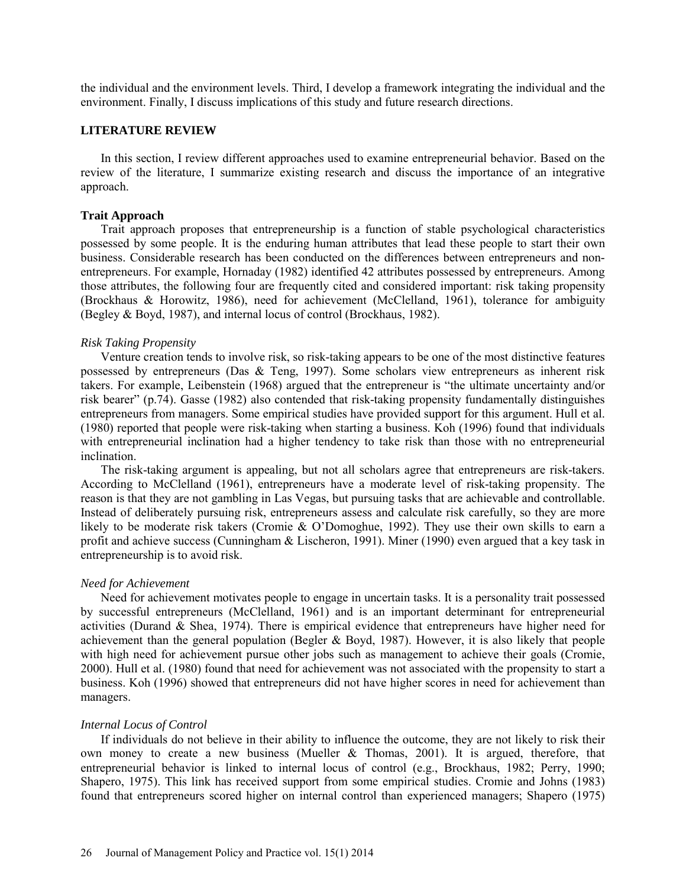the individual and the environment levels. Third, I develop a framework integrating the individual and the environment. Finally, I discuss implications of this study and future research directions.

#### **LITERATURE REVIEW**

In this section, I review different approaches used to examine entrepreneurial behavior. Based on the review of the literature, I summarize existing research and discuss the importance of an integrative approach.

#### **Trait Approach**

Trait approach proposes that entrepreneurship is a function of stable psychological characteristics possessed by some people. It is the enduring human attributes that lead these people to start their own business. Considerable research has been conducted on the differences between entrepreneurs and nonentrepreneurs. For example, Hornaday (1982) identified 42 attributes possessed by entrepreneurs. Among those attributes, the following four are frequently cited and considered important: risk taking propensity (Brockhaus & Horowitz, 1986), need for achievement (McClelland, 1961), tolerance for ambiguity (Begley & Boyd, 1987), and internal locus of control (Brockhaus, 1982).

#### *Risk Taking Propensity*

Venture creation tends to involve risk, so risk-taking appears to be one of the most distinctive features possessed by entrepreneurs (Das & Teng, 1997). Some scholars view entrepreneurs as inherent risk takers. For example, Leibenstein (1968) argued that the entrepreneur is "the ultimate uncertainty and/or risk bearer" (p.74). Gasse (1982) also contended that risk-taking propensity fundamentally distinguishes entrepreneurs from managers. Some empirical studies have provided support for this argument. Hull et al. (1980) reported that people were risk-taking when starting a business. Koh (1996) found that individuals with entrepreneurial inclination had a higher tendency to take risk than those with no entrepreneurial inclination.

The risk-taking argument is appealing, but not all scholars agree that entrepreneurs are risk-takers. According to McClelland (1961), entrepreneurs have a moderate level of risk-taking propensity. The reason is that they are not gambling in Las Vegas, but pursuing tasks that are achievable and controllable. Instead of deliberately pursuing risk, entrepreneurs assess and calculate risk carefully, so they are more likely to be moderate risk takers (Cromie & O'Domoghue, 1992). They use their own skills to earn a profit and achieve success (Cunningham & Lischeron, 1991). Miner (1990) even argued that a key task in entrepreneurship is to avoid risk.

#### *Need for Achievement*

Need for achievement motivates people to engage in uncertain tasks. It is a personality trait possessed by successful entrepreneurs (McClelland, 1961) and is an important determinant for entrepreneurial activities (Durand & Shea, 1974). There is empirical evidence that entrepreneurs have higher need for achievement than the general population (Begler & Boyd, 1987). However, it is also likely that people with high need for achievement pursue other jobs such as management to achieve their goals (Cromie, 2000). Hull et al. (1980) found that need for achievement was not associated with the propensity to start a business. Koh (1996) showed that entrepreneurs did not have higher scores in need for achievement than managers.

#### *Internal Locus of Control*

If individuals do not believe in their ability to influence the outcome, they are not likely to risk their own money to create a new business (Mueller & Thomas, 2001). It is argued, therefore, that entrepreneurial behavior is linked to internal locus of control (e.g., Brockhaus, 1982; Perry, 1990; Shapero, 1975). This link has received support from some empirical studies. Cromie and Johns (1983) found that entrepreneurs scored higher on internal control than experienced managers; Shapero (1975)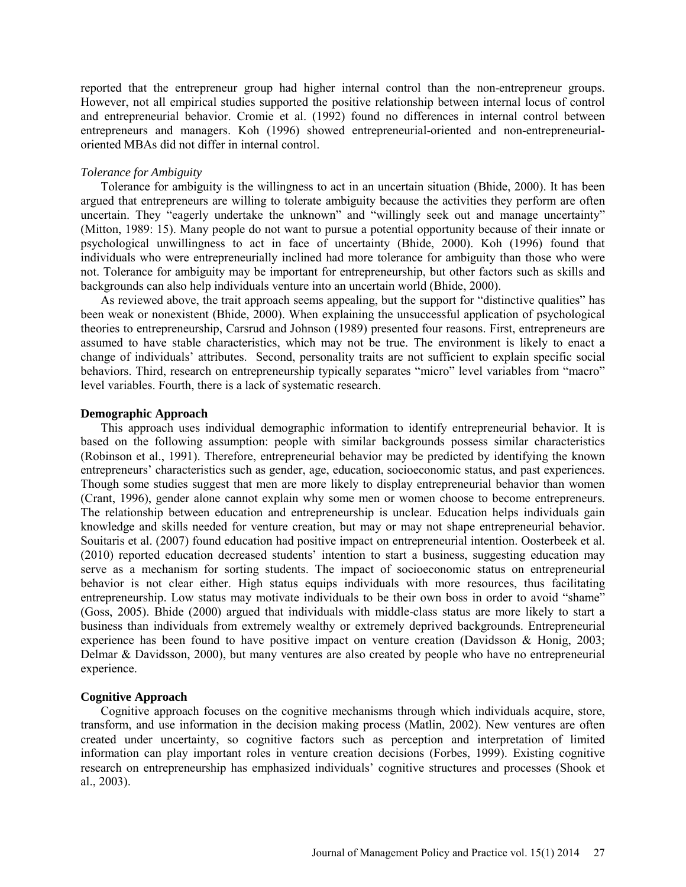reported that the entrepreneur group had higher internal control than the non-entrepreneur groups. However, not all empirical studies supported the positive relationship between internal locus of control and entrepreneurial behavior. Cromie et al. (1992) found no differences in internal control between entrepreneurs and managers. Koh (1996) showed entrepreneurial-oriented and non-entrepreneurialoriented MBAs did not differ in internal control.

#### *Tolerance for Ambiguity*

Tolerance for ambiguity is the willingness to act in an uncertain situation (Bhide, 2000). It has been argued that entrepreneurs are willing to tolerate ambiguity because the activities they perform are often uncertain. They "eagerly undertake the unknown" and "willingly seek out and manage uncertainty" (Mitton, 1989: 15). Many people do not want to pursue a potential opportunity because of their innate or psychological unwillingness to act in face of uncertainty (Bhide, 2000). Koh (1996) found that individuals who were entrepreneurially inclined had more tolerance for ambiguity than those who were not. Tolerance for ambiguity may be important for entrepreneurship, but other factors such as skills and backgrounds can also help individuals venture into an uncertain world (Bhide, 2000).

As reviewed above, the trait approach seems appealing, but the support for "distinctive qualities" has been weak or nonexistent (Bhide, 2000). When explaining the unsuccessful application of psychological theories to entrepreneurship, Carsrud and Johnson (1989) presented four reasons. First, entrepreneurs are assumed to have stable characteristics, which may not be true. The environment is likely to enact a change of individuals' attributes. Second, personality traits are not sufficient to explain specific social behaviors. Third, research on entrepreneurship typically separates "micro" level variables from "macro" level variables. Fourth, there is a lack of systematic research.

#### **Demographic Approach**

This approach uses individual demographic information to identify entrepreneurial behavior. It is based on the following assumption: people with similar backgrounds possess similar characteristics (Robinson et al., 1991). Therefore, entrepreneurial behavior may be predicted by identifying the known entrepreneurs' characteristics such as gender, age, education, socioeconomic status, and past experiences. Though some studies suggest that men are more likely to display entrepreneurial behavior than women (Crant, 1996), gender alone cannot explain why some men or women choose to become entrepreneurs. The relationship between education and entrepreneurship is unclear. Education helps individuals gain knowledge and skills needed for venture creation, but may or may not shape entrepreneurial behavior. Souitaris et al. (2007) found education had positive impact on entrepreneurial intention. Oosterbeek et al. (2010) reported education decreased students' intention to start a business, suggesting education may serve as a mechanism for sorting students. The impact of socioeconomic status on entrepreneurial behavior is not clear either. High status equips individuals with more resources, thus facilitating entrepreneurship. Low status may motivate individuals to be their own boss in order to avoid "shame" (Goss, 2005). Bhide (2000) argued that individuals with middle-class status are more likely to start a business than individuals from extremely wealthy or extremely deprived backgrounds. Entrepreneurial experience has been found to have positive impact on venture creation (Davidsson & Honig, 2003; Delmar & Davidsson, 2000), but many ventures are also created by people who have no entrepreneurial experience.

## **Cognitive Approach**

Cognitive approach focuses on the cognitive mechanisms through which individuals acquire, store, transform, and use information in the decision making process (Matlin, 2002). New ventures are often created under uncertainty, so cognitive factors such as perception and interpretation of limited information can play important roles in venture creation decisions (Forbes, 1999). Existing cognitive research on entrepreneurship has emphasized individuals' cognitive structures and processes (Shook et al., 2003).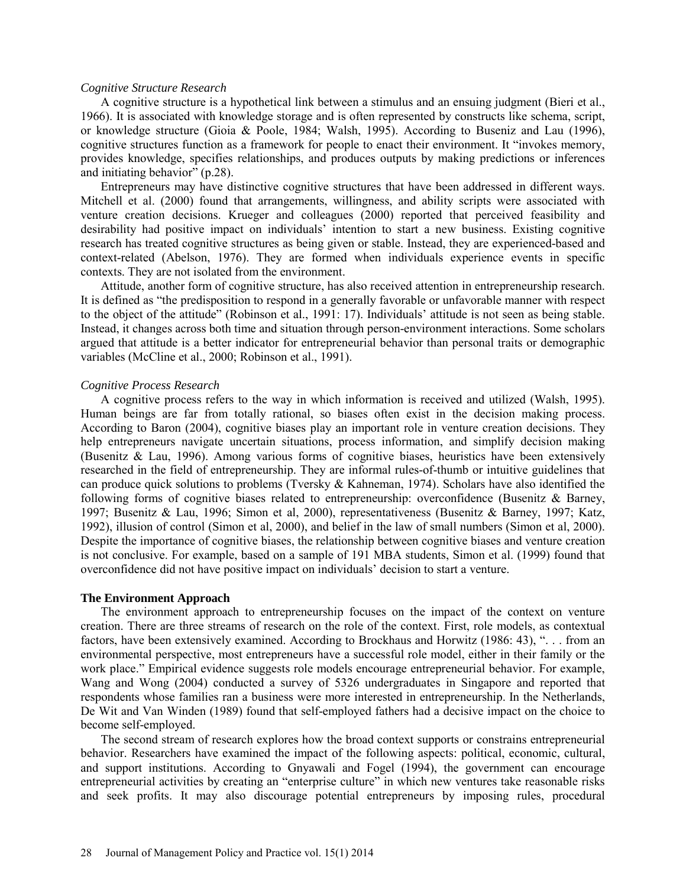#### *Cognitive Structure Research*

A cognitive structure is a hypothetical link between a stimulus and an ensuing judgment (Bieri et al., 1966). It is associated with knowledge storage and is often represented by constructs like schema, script, or knowledge structure (Gioia & Poole, 1984; Walsh, 1995). According to Buseniz and Lau (1996), cognitive structures function as a framework for people to enact their environment. It "invokes memory, provides knowledge, specifies relationships, and produces outputs by making predictions or inferences and initiating behavior" (p.28).

Entrepreneurs may have distinctive cognitive structures that have been addressed in different ways. Mitchell et al. (2000) found that arrangements, willingness, and ability scripts were associated with venture creation decisions. Krueger and colleagues (2000) reported that perceived feasibility and desirability had positive impact on individuals' intention to start a new business. Existing cognitive research has treated cognitive structures as being given or stable. Instead, they are experienced-based and context-related (Abelson, 1976). They are formed when individuals experience events in specific contexts. They are not isolated from the environment.

Attitude, another form of cognitive structure, has also received attention in entrepreneurship research. It is defined as "the predisposition to respond in a generally favorable or unfavorable manner with respect to the object of the attitude" (Robinson et al., 1991: 17). Individuals' attitude is not seen as being stable. Instead, it changes across both time and situation through person-environment interactions. Some scholars argued that attitude is a better indicator for entrepreneurial behavior than personal traits or demographic variables (McCline et al., 2000; Robinson et al., 1991).

#### *Cognitive Process Research*

A cognitive process refers to the way in which information is received and utilized (Walsh, 1995). Human beings are far from totally rational, so biases often exist in the decision making process. According to Baron (2004), cognitive biases play an important role in venture creation decisions. They help entrepreneurs navigate uncertain situations, process information, and simplify decision making (Busenitz & Lau, 1996). Among various forms of cognitive biases, heuristics have been extensively researched in the field of entrepreneurship. They are informal rules-of-thumb or intuitive guidelines that can produce quick solutions to problems (Tversky & Kahneman, 1974). Scholars have also identified the following forms of cognitive biases related to entrepreneurship: overconfidence (Busenitz & Barney, 1997; Busenitz & Lau, 1996; Simon et al, 2000), representativeness (Busenitz & Barney, 1997; Katz, 1992), illusion of control (Simon et al, 2000), and belief in the law of small numbers (Simon et al, 2000). Despite the importance of cognitive biases, the relationship between cognitive biases and venture creation is not conclusive. For example, based on a sample of 191 MBA students, Simon et al. (1999) found that overconfidence did not have positive impact on individuals' decision to start a venture.

#### **The Environment Approach**

The environment approach to entrepreneurship focuses on the impact of the context on venture creation. There are three streams of research on the role of the context. First, role models, as contextual factors, have been extensively examined. According to Brockhaus and Horwitz (1986: 43), "... from an environmental perspective, most entrepreneurs have a successful role model, either in their family or the work place." Empirical evidence suggests role models encourage entrepreneurial behavior. For example, Wang and Wong (2004) conducted a survey of 5326 undergraduates in Singapore and reported that respondents whose families ran a business were more interested in entrepreneurship. In the Netherlands, De Wit and Van Winden (1989) found that self-employed fathers had a decisive impact on the choice to become self-employed.

The second stream of research explores how the broad context supports or constrains entrepreneurial behavior. Researchers have examined the impact of the following aspects: political, economic, cultural, and support institutions. According to Gnyawali and Fogel (1994), the government can encourage entrepreneurial activities by creating an "enterprise culture" in which new ventures take reasonable risks and seek profits. It may also discourage potential entrepreneurs by imposing rules, procedural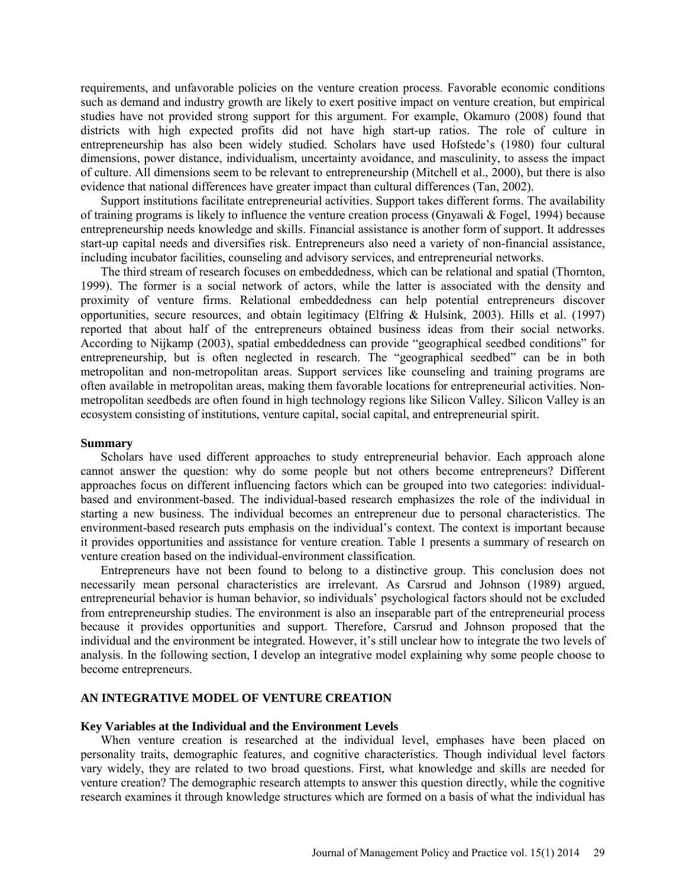requirements, and unfavorable policies on the venture creation process. Favorable economic conditions such as demand and industry growth are likely to exert positive impact on venture creation, but empirical studies have not provided strong support for this argument. For example, Okamuro (2008) found that districts with high expected profits did not have high start-up ratios. The role of culture in entrepreneurship has also been widely studied. Scholars have used Hofstede's (1980) four cultural dimensions, power distance, individualism, uncertainty avoidance, and masculinity, to assess the impact of culture. All dimensions seem to be relevant to entrepreneurship (Mitchell et al., 2000), but there is also evidence that national differences have greater impact than cultural differences (Tan, 2002).

Support institutions facilitate entrepreneurial activities. Support takes different forms. The availability of training programs is likely to influence the venture creation process (Gnyawali & Fogel, 1994) because entrepreneurship needs knowledge and skills. Financial assistance is another form of support. It addresses start-up capital needs and diversifies risk. Entrepreneurs also need a variety of non-financial assistance, including incubator facilities, counseling and advisory services, and entrepreneurial networks.

The third stream of research focuses on embeddedness, which can be relational and spatial (Thornton, 1999). The former is a social network of actors, while the latter is associated with the density and proximity of venture firms. Relational embeddedness can help potential entrepreneurs discover opportunities, secure resources, and obtain legitimacy (Elfring & Hulsink, 2003). Hills et al. (1997) reported that about half of the entrepreneurs obtained business ideas from their social networks. According to Nijkamp (2003), spatial embeddedness can provide "geographical seedbed conditions" for entrepreneurship, but is often neglected in research. The "geographical seedbed" can be in both metropolitan and non-metropolitan areas. Support services like counseling and training programs are often available in metropolitan areas, making them favorable locations for entrepreneurial activities. Nonmetropolitan seedbeds are often found in high technology regions like Silicon Valley. Silicon Valley is an ecosystem consisting of institutions, venture capital, social capital, and entrepreneurial spirit.

#### **Summary**

Scholars have used different approaches to study entrepreneurial behavior. Each approach alone cannot answer the question: why do some people but not others become entrepreneurs? Different approaches focus on different influencing factors which can be grouped into two categories: individualbased and environment-based. The individual-based research emphasizes the role of the individual in starting a new business. The individual becomes an entrepreneur due to personal characteristics. The environment-based research puts emphasis on the individual's context. The context is important because it provides opportunities and assistance for venture creation. Table 1 presents a summary of research on venture creation based on the individual-environment classification.

Entrepreneurs have not been found to belong to a distinctive group. This conclusion does not necessarily mean personal characteristics are irrelevant. As Carsrud and Johnson (1989) argued, entrepreneurial behavior is human behavior, so individuals' psychological factors should not be excluded from entrepreneurship studies. The environment is also an inseparable part of the entrepreneurial process because it provides opportunities and support. Therefore, Carsrud and Johnson proposed that the individual and the environment be integrated. However, it's still unclear how to integrate the two levels of analysis. In the following section, I develop an integrative model explaining why some people choose to become entrepreneurs.

#### **AN INTEGRATIVE MODEL OF VENTURE CREATION**

#### **Key Variables at the Individual and the Environment Levels**

When venture creation is researched at the individual level, emphases have been placed on personality traits, demographic features, and cognitive characteristics. Though individual level factors vary widely, they are related to two broad questions. First, what knowledge and skills are needed for venture creation? The demographic research attempts to answer this question directly, while the cognitive research examines it through knowledge structures which are formed on a basis of what the individual has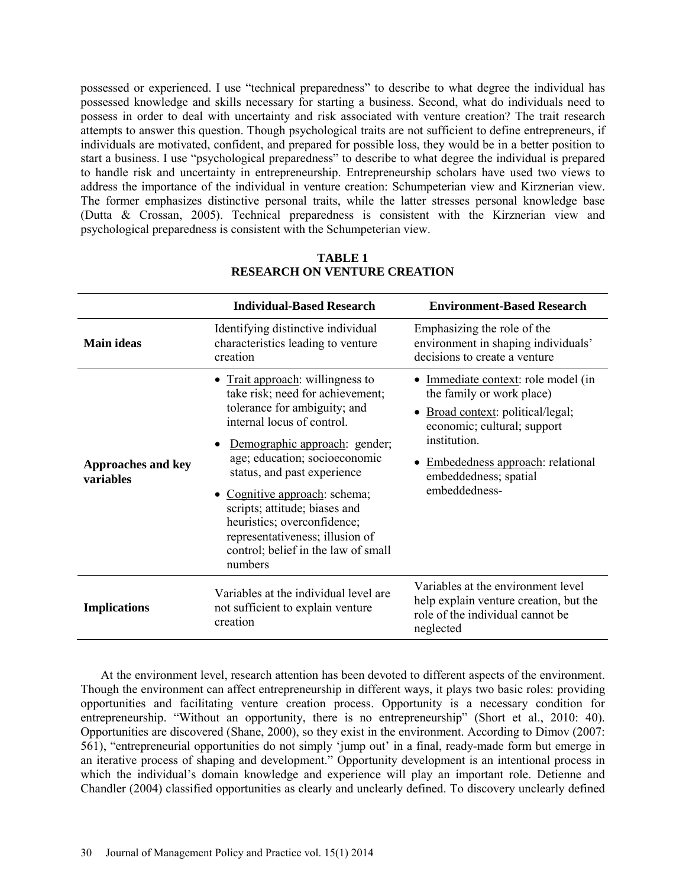possessed or experienced. I use "technical preparedness" to describe to what degree the individual has possessed knowledge and skills necessary for starting a business. Second, what do individuals need to possess in order to deal with uncertainty and risk associated with venture creation? The trait research attempts to answer this question. Though psychological traits are not sufficient to define entrepreneurs, if individuals are motivated, confident, and prepared for possible loss, they would be in a better position to start a business. I use "psychological preparedness" to describe to what degree the individual is prepared to handle risk and uncertainty in entrepreneurship. Entrepreneurship scholars have used two views to address the importance of the individual in venture creation: Schumpeterian view and Kirznerian view. The former emphasizes distinctive personal traits, while the latter stresses personal knowledge base (Dutta & Crossan, 2005). Technical preparedness is consistent with the Kirznerian view and psychological preparedness is consistent with the Schumpeterian view.

|                                        | <b>Individual-Based Research</b>                                                                                                                                                                                                                                                                                                                                                                                                     | <b>Environment-Based Research</b>                                                                                                                                                                                                |
|----------------------------------------|--------------------------------------------------------------------------------------------------------------------------------------------------------------------------------------------------------------------------------------------------------------------------------------------------------------------------------------------------------------------------------------------------------------------------------------|----------------------------------------------------------------------------------------------------------------------------------------------------------------------------------------------------------------------------------|
| <b>Main ideas</b>                      | Identifying distinctive individual<br>characteristics leading to venture<br>creation                                                                                                                                                                                                                                                                                                                                                 | Emphasizing the role of the<br>environment in shaping individuals'<br>decisions to create a venture                                                                                                                              |
| <b>Approaches and key</b><br>variables | Trait approach: willingness to<br>take risk; need for achievement;<br>tolerance for ambiguity; and<br>internal locus of control.<br>Demographic approach: gender;<br>$\bullet$<br>age; education; socioeconomic<br>status, and past experience<br>• Cognitive approach: schema;<br>scripts; attitude; biases and<br>heuristics; overconfidence;<br>representativeness; illusion of<br>control; belief in the law of small<br>numbers | • Immediate context: role model (in<br>the family or work place)<br>Broad context: political/legal;<br>economic; cultural; support<br>institution.<br>Embededness approach: relational<br>embeddedness; spatial<br>embeddedness- |
| <b>Implications</b>                    | Variables at the environment level<br>Variables at the individual level are<br>help explain venture creation, but the<br>not sufficient to explain venture<br>role of the individual cannot be<br>creation<br>neglected                                                                                                                                                                                                              |                                                                                                                                                                                                                                  |

## **TABLE 1 RESEARCH ON VENTURE CREATION**

At the environment level, research attention has been devoted to different aspects of the environment. Though the environment can affect entrepreneurship in different ways, it plays two basic roles: providing opportunities and facilitating venture creation process. Opportunity is a necessary condition for entrepreneurship. "Without an opportunity, there is no entrepreneurship" (Short et al., 2010: 40). Opportunities are discovered (Shane, 2000), so they exist in the environment. According to Dimov (2007: 561), "entrepreneurial opportunities do not simply 'jump out' in a final, ready-made form but emerge in an iterative process of shaping and development." Opportunity development is an intentional process in which the individual's domain knowledge and experience will play an important role. Detienne and Chandler (2004) classified opportunities as clearly and unclearly defined. To discovery unclearly defined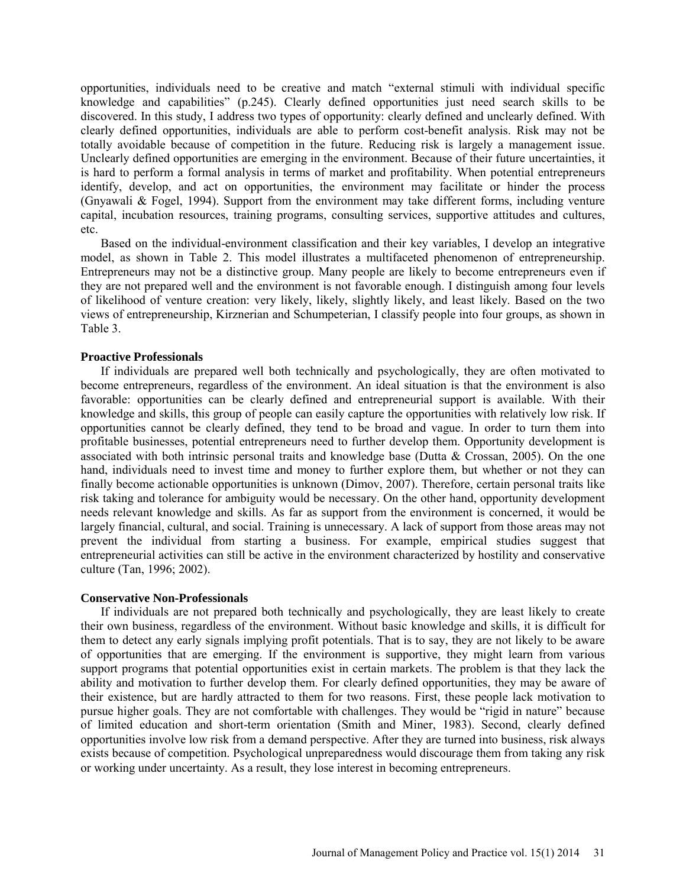opportunities, individuals need to be creative and match "external stimuli with individual specific knowledge and capabilities" (p.245). Clearly defined opportunities just need search skills to be discovered. In this study, I address two types of opportunity: clearly defined and unclearly defined. With clearly defined opportunities, individuals are able to perform cost-benefit analysis. Risk may not be totally avoidable because of competition in the future. Reducing risk is largely a management issue. Unclearly defined opportunities are emerging in the environment. Because of their future uncertainties, it is hard to perform a formal analysis in terms of market and profitability. When potential entrepreneurs identify, develop, and act on opportunities, the environment may facilitate or hinder the process (Gnyawali & Fogel, 1994). Support from the environment may take different forms, including venture capital, incubation resources, training programs, consulting services, supportive attitudes and cultures, etc.

Based on the individual-environment classification and their key variables, I develop an integrative model, as shown in Table 2. This model illustrates a multifaceted phenomenon of entrepreneurship. Entrepreneurs may not be a distinctive group. Many people are likely to become entrepreneurs even if they are not prepared well and the environment is not favorable enough. I distinguish among four levels of likelihood of venture creation: very likely, likely, slightly likely, and least likely. Based on the two views of entrepreneurship, Kirznerian and Schumpeterian, I classify people into four groups, as shown in Table 3.

## **Proactive Professionals**

If individuals are prepared well both technically and psychologically, they are often motivated to become entrepreneurs, regardless of the environment. An ideal situation is that the environment is also favorable: opportunities can be clearly defined and entrepreneurial support is available. With their knowledge and skills, this group of people can easily capture the opportunities with relatively low risk. If opportunities cannot be clearly defined, they tend to be broad and vague. In order to turn them into profitable businesses, potential entrepreneurs need to further develop them. Opportunity development is associated with both intrinsic personal traits and knowledge base (Dutta & Crossan, 2005). On the one hand, individuals need to invest time and money to further explore them, but whether or not they can finally become actionable opportunities is unknown (Dimov, 2007). Therefore, certain personal traits like risk taking and tolerance for ambiguity would be necessary. On the other hand, opportunity development needs relevant knowledge and skills. As far as support from the environment is concerned, it would be largely financial, cultural, and social. Training is unnecessary. A lack of support from those areas may not prevent the individual from starting a business. For example, empirical studies suggest that entrepreneurial activities can still be active in the environment characterized by hostility and conservative culture (Tan, 1996; 2002).

## **Conservative Non-Professionals**

If individuals are not prepared both technically and psychologically, they are least likely to create their own business, regardless of the environment. Without basic knowledge and skills, it is difficult for them to detect any early signals implying profit potentials. That is to say, they are not likely to be aware of opportunities that are emerging. If the environment is supportive, they might learn from various support programs that potential opportunities exist in certain markets. The problem is that they lack the ability and motivation to further develop them. For clearly defined opportunities, they may be aware of their existence, but are hardly attracted to them for two reasons. First, these people lack motivation to pursue higher goals. They are not comfortable with challenges. They would be "rigid in nature" because of limited education and short-term orientation (Smith and Miner, 1983). Second, clearly defined opportunities involve low risk from a demand perspective. After they are turned into business, risk always exists because of competition. Psychological unpreparedness would discourage them from taking any risk or working under uncertainty. As a result, they lose interest in becoming entrepreneurs.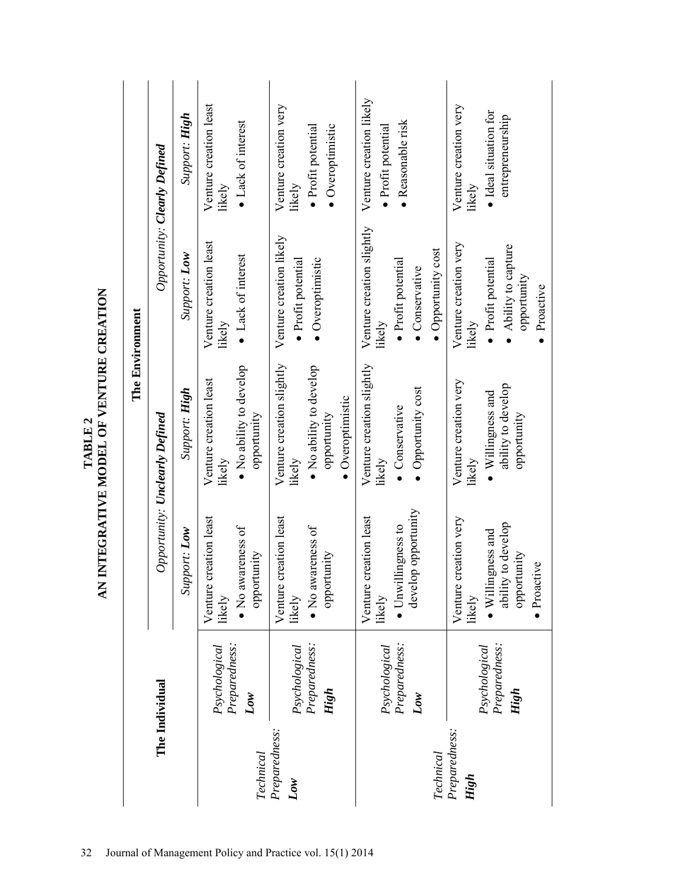| The Environment | Opportunity: <b>Clearly Defined</b>   | Support: <b>High</b> | Venture creation least<br>• Lack of interest<br>likely                             | Venture creation very<br>· Overoptimistic<br>· Profit potential<br>likely                         | Venture creation likely<br>· Reasonable risk<br>· Profit potential                                | Venture creation very<br>· Ideal situation for<br>entrepreneurship<br>likely                                |
|-----------------|---------------------------------------|----------------------|------------------------------------------------------------------------------------|---------------------------------------------------------------------------------------------------|---------------------------------------------------------------------------------------------------|-------------------------------------------------------------------------------------------------------------|
|                 |                                       | Support: Low         | Venture creation least<br>• Lack of interest<br>likely                             | Venture creation likely<br>· Profit potential<br>· Overoptimistic                                 | Venture creation slightly<br>• Opportunity cost<br>· Profit potential<br>• Conservative<br>likely | Venture creation very<br>Ability to capture<br>· Profit potential<br>opportunity<br>• Proactive<br>likely   |
|                 | Opportunity: <b>Unclearly Defined</b> | Support: <b>High</b> | $\bullet$ No ability to develop<br>Venture creation least<br>opportunity<br>likelv | Venture creation slightly<br>· No ability to develop<br>· Overoptimistic<br>opportunity<br>likely | Venture creation slightly<br>• Opportunity cost<br>• Conservative<br>likely                       | Venture creation very<br>ability to develop<br>$\bullet$ Willingness and<br>opportunity<br>likely           |
|                 |                                       | Support: Low         | creation least<br>• No awareness of<br>opportunity<br>Venture<br>likely            | creation least<br>• No awareness of<br>opportunity<br>Venture<br>likely                           | develop opportunity<br>creation least<br>• Unwillingness to<br>Venture<br>likely                  | creation very<br>ability to develop<br>· Willingness and<br>opportunity<br>· Proactive<br>Venture<br>likely |
| The Individual  |                                       |                      | Preparedness:<br>Psychological<br>Low                                              | Preparedness:<br>Psychological<br>High                                                            | Preparedness:<br>Psychological<br>Low                                                             | Preparedness:<br>Psychological<br>High                                                                      |
|                 |                                       |                      | Preparedness:<br>Technical<br>$\overline{Low}$                                     |                                                                                                   | Preparedness:<br>Technical<br>High                                                                |                                                                                                             |

TABLE 2<br>AN INTEGRATIVE MODEL OF VENTURE CREATION **AN INTEGRATIVE MODEL OF VENTURE CREATION**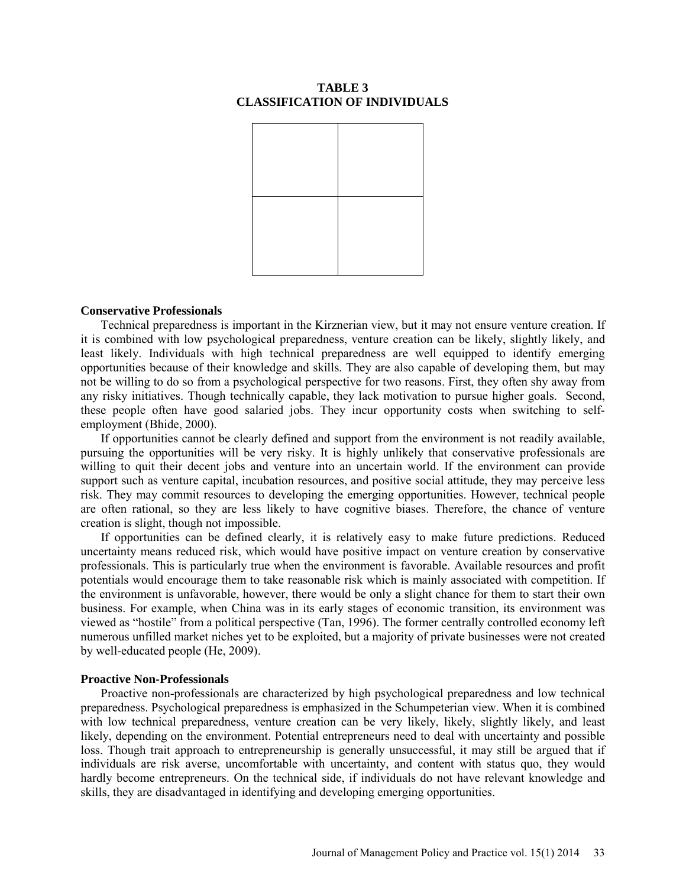## **TABLE 3 CLASSIFICATION OF INDIVIDUALS**



#### **Conservative Professionals**

Technical preparedness is important in the Kirznerian view, but it may not ensure venture creation. If it is combined with low psychological preparedness, venture creation can be likely, slightly likely, and least likely. Individuals with high technical preparedness are well equipped to identify emerging opportunities because of their knowledge and skills. They are also capable of developing them, but may not be willing to do so from a psychological perspective for two reasons. First, they often shy away from any risky initiatives. Though technically capable, they lack motivation to pursue higher goals. Second, these people often have good salaried jobs. They incur opportunity costs when switching to selfemployment (Bhide, 2000).

If opportunities cannot be clearly defined and support from the environment is not readily available, pursuing the opportunities will be very risky. It is highly unlikely that conservative professionals are willing to quit their decent jobs and venture into an uncertain world. If the environment can provide support such as venture capital, incubation resources, and positive social attitude, they may perceive less risk. They may commit resources to developing the emerging opportunities. However, technical people are often rational, so they are less likely to have cognitive biases. Therefore, the chance of venture creation is slight, though not impossible.

If opportunities can be defined clearly, it is relatively easy to make future predictions. Reduced uncertainty means reduced risk, which would have positive impact on venture creation by conservative professionals. This is particularly true when the environment is favorable. Available resources and profit potentials would encourage them to take reasonable risk which is mainly associated with competition. If the environment is unfavorable, however, there would be only a slight chance for them to start their own business. For example, when China was in its early stages of economic transition, its environment was viewed as "hostile" from a political perspective (Tan, 1996). The former centrally controlled economy left numerous unfilled market niches yet to be exploited, but a majority of private businesses were not created by well-educated people (He, 2009).

#### **Proactive Non-Professionals**

Proactive non-professionals are characterized by high psychological preparedness and low technical preparedness. Psychological preparedness is emphasized in the Schumpeterian view. When it is combined with low technical preparedness, venture creation can be very likely, likely, slightly likely, and least likely, depending on the environment. Potential entrepreneurs need to deal with uncertainty and possible loss. Though trait approach to entrepreneurship is generally unsuccessful, it may still be argued that if individuals are risk averse, uncomfortable with uncertainty, and content with status quo, they would hardly become entrepreneurs. On the technical side, if individuals do not have relevant knowledge and skills, they are disadvantaged in identifying and developing emerging opportunities.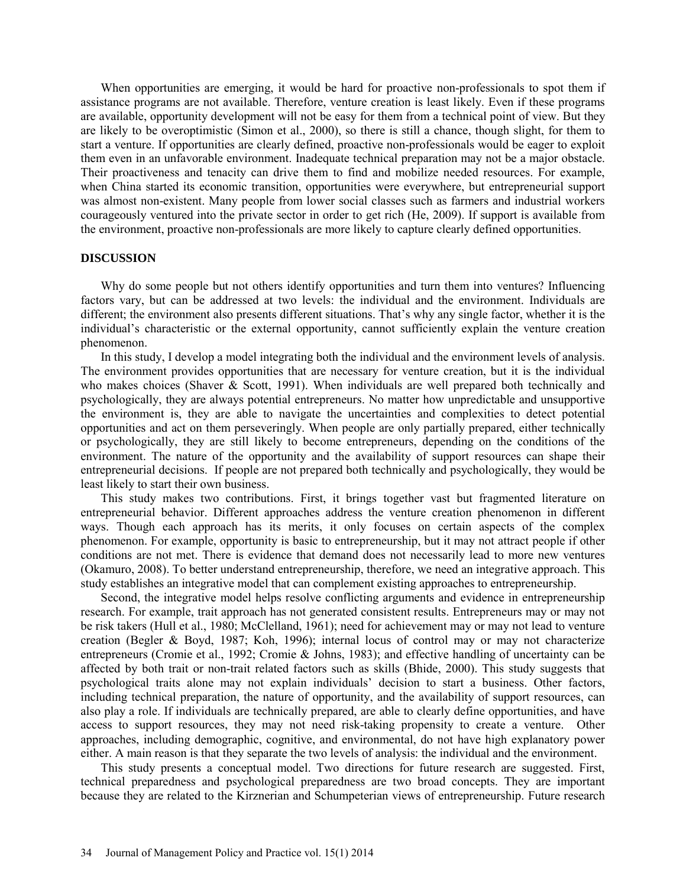When opportunities are emerging, it would be hard for proactive non-professionals to spot them if assistance programs are not available. Therefore, venture creation is least likely. Even if these programs are available, opportunity development will not be easy for them from a technical point of view. But they are likely to be overoptimistic (Simon et al., 2000), so there is still a chance, though slight, for them to start a venture. If opportunities are clearly defined, proactive non-professionals would be eager to exploit them even in an unfavorable environment. Inadequate technical preparation may not be a major obstacle. Their proactiveness and tenacity can drive them to find and mobilize needed resources. For example, when China started its economic transition, opportunities were everywhere, but entrepreneurial support was almost non-existent. Many people from lower social classes such as farmers and industrial workers courageously ventured into the private sector in order to get rich (He, 2009). If support is available from the environment, proactive non-professionals are more likely to capture clearly defined opportunities.

## **DISCUSSION**

Why do some people but not others identify opportunities and turn them into ventures? Influencing factors vary, but can be addressed at two levels: the individual and the environment. Individuals are different; the environment also presents different situations. That's why any single factor, whether it is the individual's characteristic or the external opportunity, cannot sufficiently explain the venture creation phenomenon.

In this study, I develop a model integrating both the individual and the environment levels of analysis. The environment provides opportunities that are necessary for venture creation, but it is the individual who makes choices (Shaver & Scott, 1991). When individuals are well prepared both technically and psychologically, they are always potential entrepreneurs. No matter how unpredictable and unsupportive the environment is, they are able to navigate the uncertainties and complexities to detect potential opportunities and act on them perseveringly. When people are only partially prepared, either technically or psychologically, they are still likely to become entrepreneurs, depending on the conditions of the environment. The nature of the opportunity and the availability of support resources can shape their entrepreneurial decisions. If people are not prepared both technically and psychologically, they would be least likely to start their own business.

This study makes two contributions. First, it brings together vast but fragmented literature on entrepreneurial behavior. Different approaches address the venture creation phenomenon in different ways. Though each approach has its merits, it only focuses on certain aspects of the complex phenomenon. For example, opportunity is basic to entrepreneurship, but it may not attract people if other conditions are not met. There is evidence that demand does not necessarily lead to more new ventures (Okamuro, 2008). To better understand entrepreneurship, therefore, we need an integrative approach. This study establishes an integrative model that can complement existing approaches to entrepreneurship.

Second, the integrative model helps resolve conflicting arguments and evidence in entrepreneurship research. For example, trait approach has not generated consistent results. Entrepreneurs may or may not be risk takers (Hull et al., 1980; McClelland, 1961); need for achievement may or may not lead to venture creation (Begler & Boyd, 1987; Koh, 1996); internal locus of control may or may not characterize entrepreneurs (Cromie et al., 1992; Cromie & Johns, 1983); and effective handling of uncertainty can be affected by both trait or non-trait related factors such as skills (Bhide, 2000). This study suggests that psychological traits alone may not explain individuals' decision to start a business. Other factors, including technical preparation, the nature of opportunity, and the availability of support resources, can also play a role. If individuals are technically prepared, are able to clearly define opportunities, and have access to support resources, they may not need risk-taking propensity to create a venture. Other approaches, including demographic, cognitive, and environmental, do not have high explanatory power either. A main reason is that they separate the two levels of analysis: the individual and the environment.

This study presents a conceptual model. Two directions for future research are suggested. First, technical preparedness and psychological preparedness are two broad concepts. They are important because they are related to the Kirznerian and Schumpeterian views of entrepreneurship. Future research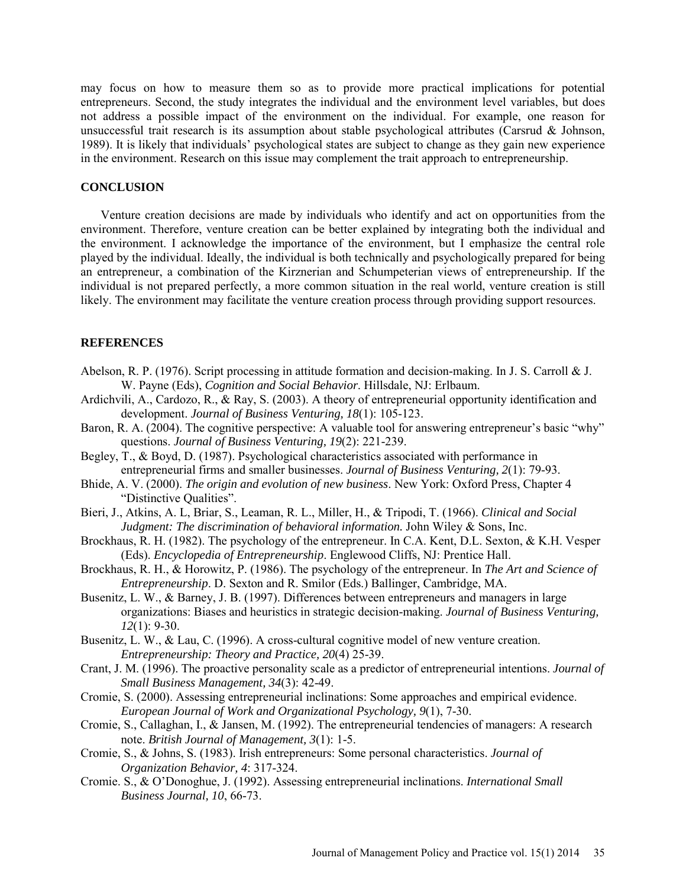may focus on how to measure them so as to provide more practical implications for potential entrepreneurs. Second, the study integrates the individual and the environment level variables, but does not address a possible impact of the environment on the individual. For example, one reason for unsuccessful trait research is its assumption about stable psychological attributes (Carsrud & Johnson, 1989). It is likely that individuals' psychological states are subject to change as they gain new experience in the environment. Research on this issue may complement the trait approach to entrepreneurship.

## **CONCLUSION**

Venture creation decisions are made by individuals who identify and act on opportunities from the environment. Therefore, venture creation can be better explained by integrating both the individual and the environment. I acknowledge the importance of the environment, but I emphasize the central role played by the individual. Ideally, the individual is both technically and psychologically prepared for being an entrepreneur, a combination of the Kirznerian and Schumpeterian views of entrepreneurship. If the individual is not prepared perfectly, a more common situation in the real world, venture creation is still likely. The environment may facilitate the venture creation process through providing support resources.

## **REFERENCES**

- Abelson, R. P. (1976). Script processing in attitude formation and decision-making. In J. S. Carroll & J. W. Payne (Eds), *Cognition and Social Behavior*. Hillsdale, NJ: Erlbaum.
- Ardichvili, A., Cardozo, R., & Ray, S. (2003). A theory of entrepreneurial opportunity identification and development. *Journal of Business Venturing, 18*(1): 105-123.
- Baron, R. A. (2004). The cognitive perspective: A valuable tool for answering entrepreneur's basic "why" questions. *Journal of Business Venturing, 19*(2): 221-239.
- Begley, T., & Boyd, D. (1987). Psychological characteristics associated with performance in entrepreneurial firms and smaller businesses. *Journal of Business Venturing, 2*(1): 79-93.
- Bhide, A. V. (2000). *The origin and evolution of new business*. New York: Oxford Press, Chapter 4 "Distinctive Qualities".
- Bieri, J., Atkins, A. L, Briar, S., Leaman, R. L., Miller, H., & Tripodi, T. (1966). *Clinical and Social Judgment: The discrimination of behavioral information.* John Wiley & Sons, Inc.
- Brockhaus, R. H. (1982). The psychology of the entrepreneur. In C.A. Kent, D.L. Sexton, & K.H. Vesper (Eds). *Encyclopedia of Entrepreneurship*. Englewood Cliffs, NJ: Prentice Hall.
- Brockhaus, R. H., & Horowitz, P. (1986). The psychology of the entrepreneur. In *The Art and Science of Entrepreneurship*. D. Sexton and R. Smilor (Eds.) Ballinger, Cambridge, MA.
- Busenitz, L. W., & Barney, J. B. (1997). Differences between entrepreneurs and managers in large organizations: Biases and heuristics in strategic decision-making. *Journal of Business Venturing, 12*(1): 9-30.
- Busenitz, L. W., & Lau, C. (1996). A cross-cultural cognitive model of new venture creation. *Entrepreneurship: Theory and Practice, 20*(4) 25-39.
- Crant, J. M. (1996). The proactive personality scale as a predictor of entrepreneurial intentions. *Journal of Small Business Management, 34*(3): 42-49.
- Cromie, S. (2000). Assessing entrepreneurial inclinations: Some approaches and empirical evidence. *European Journal of Work and Organizational Psychology, 9*(1), 7-30.
- Cromie, S., Callaghan, I., & Jansen, M. (1992). The entrepreneurial tendencies of managers: A research note. *British Journal of Management, 3*(1): 1-5.
- Cromie, S., & Johns, S. (1983). Irish entrepreneurs: Some personal characteristics. *Journal of Organization Behavior, 4*: 317-324.
- Cromie. S., & O'Donoghue, J. (1992). Assessing entrepreneurial inclinations. *International Small Business Journal, 10*, 66-73.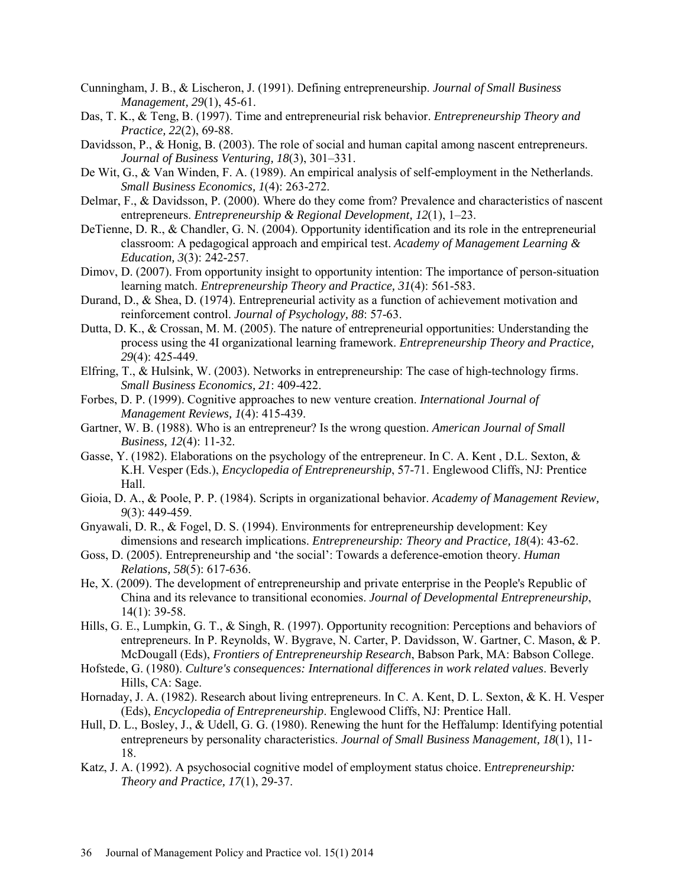- Cunningham, J. B., & Lischeron, J. (1991). Defining entrepreneurship. *Journal of Small Business Management, 29*(1), 45-61.
- Das, T. K., & Teng, B. (1997). Time and entrepreneurial risk behavior. *Entrepreneurship Theory and Practice, 22*(2), 69-88.
- Davidsson, P., & Honig, B. (2003). The role of social and human capital among nascent entrepreneurs. *Journal of Business Venturing, 18*(3), 301–331.
- De Wit, G., & Van Winden, F. A. (1989). An empirical analysis of self-employment in the Netherlands. *Small Business Economics, 1*(4): 263-272.
- Delmar, F., & Davidsson, P. (2000). Where do they come from? Prevalence and characteristics of nascent entrepreneurs. *Entrepreneurship & Regional Development, 12*(1), 1–23.
- DeTienne, D. R., & Chandler, G. N. (2004). Opportunity identification and its role in the entrepreneurial classroom: A pedagogical approach and empirical test. *Academy of Management Learning & Education, 3*(3): 242-257.
- Dimov, D. (2007). From opportunity insight to opportunity intention: The importance of person-situation learning match. *Entrepreneurship Theory and Practice, 31*(4): 561-583.
- Durand, D., & Shea, D. (1974). Entrepreneurial activity as a function of achievement motivation and reinforcement control. *Journal of Psychology, 88*: 57-63.
- Dutta, D. K., & Crossan, M. M. (2005). The nature of entrepreneurial opportunities: Understanding the process using the 4I organizational learning framework. *Entrepreneurship Theory and Practice, 29*(4): 425-449.
- Elfring, T., & Hulsink, W. (2003). Networks in entrepreneurship: The case of high-technology firms. *Small Business Economics, 21*: 409-422.
- Forbes, D. P. (1999). Cognitive approaches to new venture creation. *International Journal of Management Reviews, 1*(4): 415-439.
- Gartner, W. B. (1988). Who is an entrepreneur? Is the wrong question. *American Journal of Small Business, 12*(4): 11-32.
- Gasse, Y. (1982). Elaborations on the psychology of the entrepreneur. In C. A. Kent , D.L. Sexton, & K.H. Vesper (Eds.), *Encyclopedia of Entrepreneurship*, 57-71. Englewood Cliffs, NJ: Prentice Hall.
- Gioia, D. A., & Poole, P. P. (1984). Scripts in organizational behavior. *Academy of Management Review, 9*(3): 449-459.
- Gnyawali, D. R., & Fogel, D. S. (1994). Environments for entrepreneurship development: Key dimensions and research implications. *Entrepreneurship: Theory and Practice, 18*(4): 43-62.
- Goss, D. (2005). Entrepreneurship and 'the social': Towards a deference-emotion theory. *Human Relations, 58*(5): 617-636.
- He, X. (2009). The development of entrepreneurship and private enterprise in the People's Republic of China and its relevance to transitional economies. *Journal of Developmental Entrepreneurship*, 14(1): 39-58.
- Hills, G. E., Lumpkin, G. T., & Singh, R. (1997). Opportunity recognition: Perceptions and behaviors of entrepreneurs. In P. Reynolds, W. Bygrave, N. Carter, P. Davidsson, W. Gartner, C. Mason, & P. McDougall (Eds), *Frontiers of Entrepreneurship Research*, Babson Park, MA: Babson College.
- Hofstede, G. (1980). *Culture's consequences: International differences in work related values*. Beverly Hills, CA: Sage.
- Hornaday, J. A. (1982). Research about living entrepreneurs. In C. A. Kent, D. L. Sexton, & K. H. Vesper (Eds), *Encyclopedia of Entrepreneurship*. Englewood Cliffs, NJ: Prentice Hall.
- Hull, D. L., Bosley, J., & Udell, G. G. (1980). Renewing the hunt for the Heffalump: Identifying potential entrepreneurs by personality characteristics. *Journal of Small Business Management, 18*(1), 11- 18.
- Katz, J. A. (1992). A psychosocial cognitive model of employment status choice. E*ntrepreneurship: Theory and Practice, 17*(1), 29-37.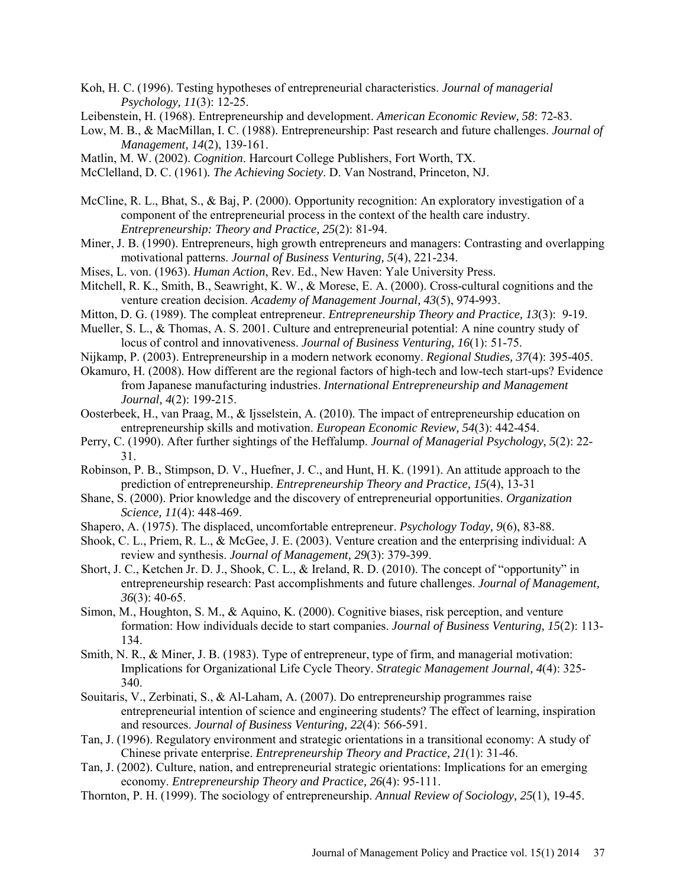- Koh, H. C. (1996). Testing hypotheses of entrepreneurial characteristics. *Journal of managerial Psychology, 11*(3): 12-25.
- Leibenstein, H. (1968). Entrepreneurship and development. *American Economic Review, 58*: 72-83.
- Low, M. B., & MacMillan, I. C. (1988). Entrepreneurship: Past research and future challenges. *Journal of Management, 14*(2), 139-161.
- Matlin, M. W. (2002). *Cognition*. Harcourt College Publishers, Fort Worth, TX.
- McClelland, D. C. (1961)*. The Achieving Society*. D. Van Nostrand, Princeton, NJ.
- McCline, R. L., Bhat, S., & Baj, P. (2000). Opportunity recognition: An exploratory investigation of a component of the entrepreneurial process in the context of the health care industry. *Entrepreneurship: Theory and Practice, 25*(2): 81-94.
- Miner, J. B. (1990). Entrepreneurs, high growth entrepreneurs and managers: Contrasting and overlapping motivational patterns. *Journal of Business Venturing, 5*(4), 221-234.
- Mises, L. von. (1963). *Human Action*, Rev. Ed., New Haven: Yale University Press.
- Mitchell, R. K., Smith, B., Seawright, K. W., & Morese, E. A. (2000). Cross-cultural cognitions and the venture creation decision. *Academy of Management Journal, 43*(5), 974-993.
- Mitton, D. G. (1989). The compleat entrepreneur. *Entrepreneurship Theory and Practice, 13*(3): 9-19.
- Mueller, S. L., & Thomas, A. S. 2001. Culture and entrepreneurial potential: A nine country study of locus of control and innovativeness. *Journal of Business Venturing, 16*(1): 51-75.
- Nijkamp, P. (2003). Entrepreneurship in a modern network economy. *Regional Studies, 37*(4): 395-405.
- Okamuro, H. (2008). How different are the regional factors of high-tech and low-tech start-ups? Evidence from Japanese manufacturing industries. *International Entrepreneurship and Management Journal, 4*(2): 199-215.
- Oosterbeek, H., van Praag, M., & Ijsselstein, A. (2010). The impact of entrepreneurship education on entrepreneurship skills and motivation. *European Economic Review, 54*(3): 442-454.
- Perry, C. (1990). After further sightings of the Heffalump. *Journal of Managerial Psychology, 5*(2): 22- 31.
- Robinson, P. B., Stimpson, D. V., Huefner, J. C., and Hunt, H. K. (1991). An attitude approach to the prediction of entrepreneurship. *Entrepreneurship Theory and Practice, 15*(4), 13-31
- Shane, S. (2000). Prior knowledge and the discovery of entrepreneurial opportunities. *Organization Science, 11*(4): 448-469.
- Shapero, A. (1975). The displaced, uncomfortable entrepreneur. *Psychology Today, 9*(6), 83-88.
- Shook, C. L., Priem, R. L., & McGee, J. E. (2003). Venture creation and the enterprising individual: A review and synthesis. *Journal of Management, 29*(3): 379-399.
- Short, J. C., Ketchen Jr. D. J., Shook, C. L., & Ireland, R. D. (2010). The concept of "opportunity" in entrepreneurship research: Past accomplishments and future challenges. *Journal of Management, 36*(3): 40-65.
- Simon, M., Houghton, S. M., & Aquino, K. (2000). Cognitive biases, risk perception, and venture formation: How individuals decide to start companies. *Journal of Business Venturing, 15*(2): 113- 134.
- Smith, N. R., & Miner, J. B. (1983). Type of entrepreneur, type of firm, and managerial motivation: Implications for Organizational Life Cycle Theory. *Strategic Management Journal, 4*(4): 325- 340.
- Souitaris, V., Zerbinati, S., & Al-Laham, A. (2007). Do entrepreneurship programmes raise entrepreneurial intention of science and engineering students? The effect of learning, inspiration and resources. *Journal of Business Venturing, 22*(4): 566-591.
- Tan, J. (1996). Regulatory environment and strategic orientations in a transitional economy: A study of Chinese private enterprise. *Entrepreneurship Theory and Practice, 21*(1): 31-46.
- Tan, J. (2002). Culture, nation, and entrepreneurial strategic orientations: Implications for an emerging economy. *Entrepreneurship Theory and Practice, 26*(4): 95-111.
- Thornton, P. H. (1999). The sociology of entrepreneurship. *Annual Review of Sociology, 25*(1), 19-45.